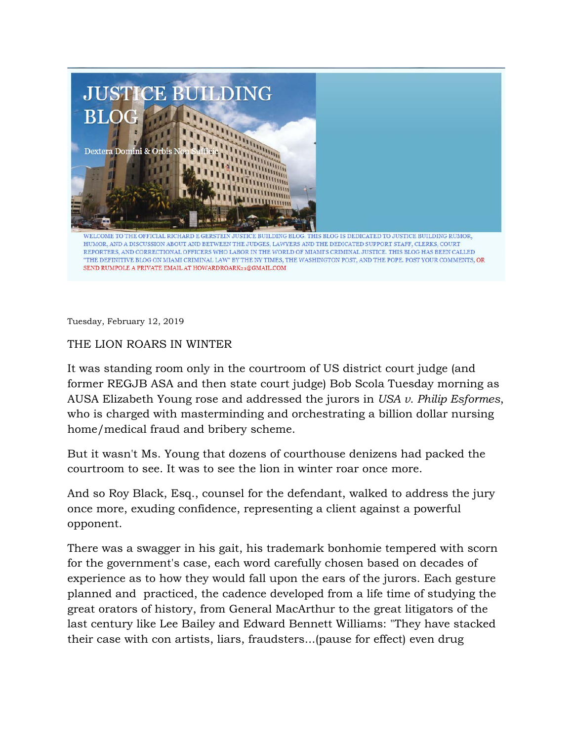

"THE DEFINITIVE BLOG ON MIAMI CRIMINAL LAW" BY THE NY TIMES, THE WASHINGTON POST, AND THE POPE. POST YOUR COMMENTS, OR SEND RUMPOLE A PRIVATE EMAIL AT HOWARDROARK21@GMAIL.COM

Tuesday, February 12, 2019

## THE LION ROARS IN WINTER

It was standing room only in the courtroom of US district court judge (and former REGJB ASA and then state court judge) Bob Scola Tuesday morning as AUSA Elizabeth Young rose and addressed the jurors in *USA v. Philip Esformes*, who is charged with masterminding and orchestrating a billion dollar nursing home/medical fraud and bribery scheme.

But it wasn't Ms. Young that dozens of courthouse denizens had packed the courtroom to see. It was to see the lion in winter roar once more.

And so Roy Black, Esq., counsel for the defendant, walked to address the jury once more, exuding confidence, representing a client against a powerful opponent.

There was a swagger in his gait, his trademark bonhomie tempered with scorn for the government's case, each word carefully chosen based on decades of experience as to how they would fall upon the ears of the jurors. Each gesture planned and practiced, the cadence developed from a life time of studying the great orators of history, from General MacArthur to the great litigators of the last century like Lee Bailey and Edward Bennett Williams: "They have stacked their case with con artists, liars, fraudsters...(pause for effect) even drug